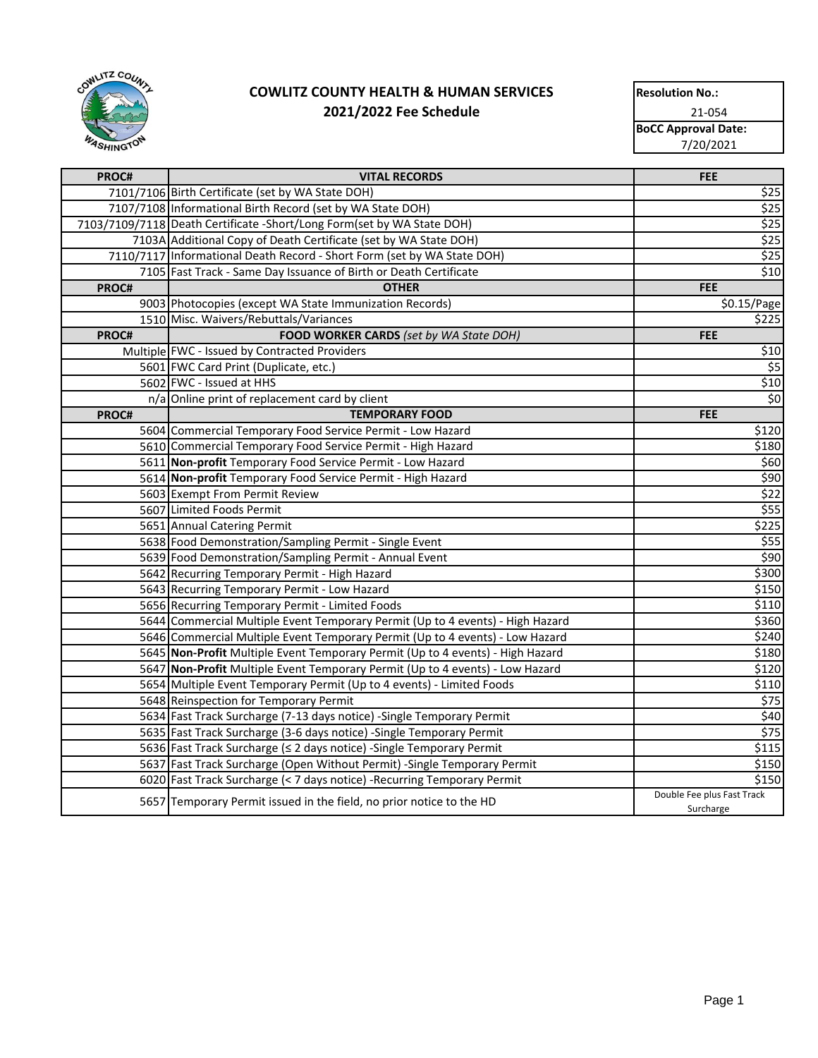

| <b>Resolution No.:</b>     |  |  |
|----------------------------|--|--|
| 21-054                     |  |  |
| <b>BoCC Approval Date:</b> |  |  |
| 7/20/2021                  |  |  |
|                            |  |  |

| PROC# | <b>VITAL RECORDS</b>                                                           | <b>FEE</b>                              |
|-------|--------------------------------------------------------------------------------|-----------------------------------------|
|       | 7101/7106 Birth Certificate (set by WA State DOH)                              | \$25                                    |
|       | 7107/7108 Informational Birth Record (set by WA State DOH)                     | \$25                                    |
|       | 7103/7109/7118 Death Certificate - Short/Long Form (set by WA State DOH)       | \$25                                    |
|       | 7103A Additional Copy of Death Certificate (set by WA State DOH)               | \$25                                    |
|       | 7110/7117 Informational Death Record - Short Form (set by WA State DOH)        | \$25                                    |
|       | 7105 Fast Track - Same Day Issuance of Birth or Death Certificate              | \$10                                    |
| PROC# | <b>OTHER</b>                                                                   | <b>FEE</b>                              |
|       | 9003 Photocopies (except WA State Immunization Records)                        | \$0.15/Page                             |
|       | 1510 Misc. Waivers/Rebuttals/Variances                                         | \$225                                   |
| PROC# | FOOD WORKER CARDS (set by WA State DOH)                                        | <b>FEE</b>                              |
|       | Multiple FWC - Issued by Contracted Providers                                  | \$10                                    |
|       | 5601 FWC Card Print (Duplicate, etc.)                                          | \$5                                     |
|       | 5602 FWC - Issued at HHS                                                       | \$10                                    |
|       | n/a Online print of replacement card by client                                 | \$0                                     |
| PROC# | <b>TEMPORARY FOOD</b>                                                          | <b>FEE</b>                              |
|       | 5604 Commercial Temporary Food Service Permit - Low Hazard                     | \$120                                   |
|       | 5610 Commercial Temporary Food Service Permit - High Hazard                    | \$180                                   |
|       | 5611 Non-profit Temporary Food Service Permit - Low Hazard                     | \$60                                    |
|       | 5614 Non-profit Temporary Food Service Permit - High Hazard                    | \$90                                    |
|       | 5603 Exempt From Permit Review                                                 | \$22                                    |
|       | 5607 Limited Foods Permit                                                      | \$55                                    |
|       | 5651 Annual Catering Permit                                                    | \$225                                   |
|       | 5638 Food Demonstration/Sampling Permit - Single Event                         | \$55                                    |
|       | 5639 Food Demonstration/Sampling Permit - Annual Event                         | \$90                                    |
|       | 5642 Recurring Temporary Permit - High Hazard                                  | \$300                                   |
|       | 5643 Recurring Temporary Permit - Low Hazard                                   | \$150                                   |
|       | 5656 Recurring Temporary Permit - Limited Foods                                | \$110                                   |
|       | 5644 Commercial Multiple Event Temporary Permit (Up to 4 events) - High Hazard | \$360                                   |
|       | 5646 Commercial Multiple Event Temporary Permit (Up to 4 events) - Low Hazard  | \$240                                   |
|       | 5645 Non-Profit Multiple Event Temporary Permit (Up to 4 events) - High Hazard | \$180                                   |
|       | 5647 Non-Profit Multiple Event Temporary Permit (Up to 4 events) - Low Hazard  | \$120                                   |
|       | 5654 Multiple Event Temporary Permit (Up to 4 events) - Limited Foods          | \$110                                   |
|       | 5648 Reinspection for Temporary Permit                                         | \$75                                    |
|       | 5634 Fast Track Surcharge (7-13 days notice) - Single Temporary Permit         | \$40                                    |
|       | 5635 Fast Track Surcharge (3-6 days notice) - Single Temporary Permit          | $\sqrt{575}$                            |
|       | 5636 Fast Track Surcharge (≤ 2 days notice) - Single Temporary Permit          | \$115                                   |
|       | 5637 Fast Track Surcharge (Open Without Permit) - Single Temporary Permit      | \$150                                   |
|       | 6020 Fast Track Surcharge (< 7 days notice) - Recurring Temporary Permit       | \$150                                   |
|       | 5657 Temporary Permit issued in the field, no prior notice to the HD           | Double Fee plus Fast Track<br>Surcharge |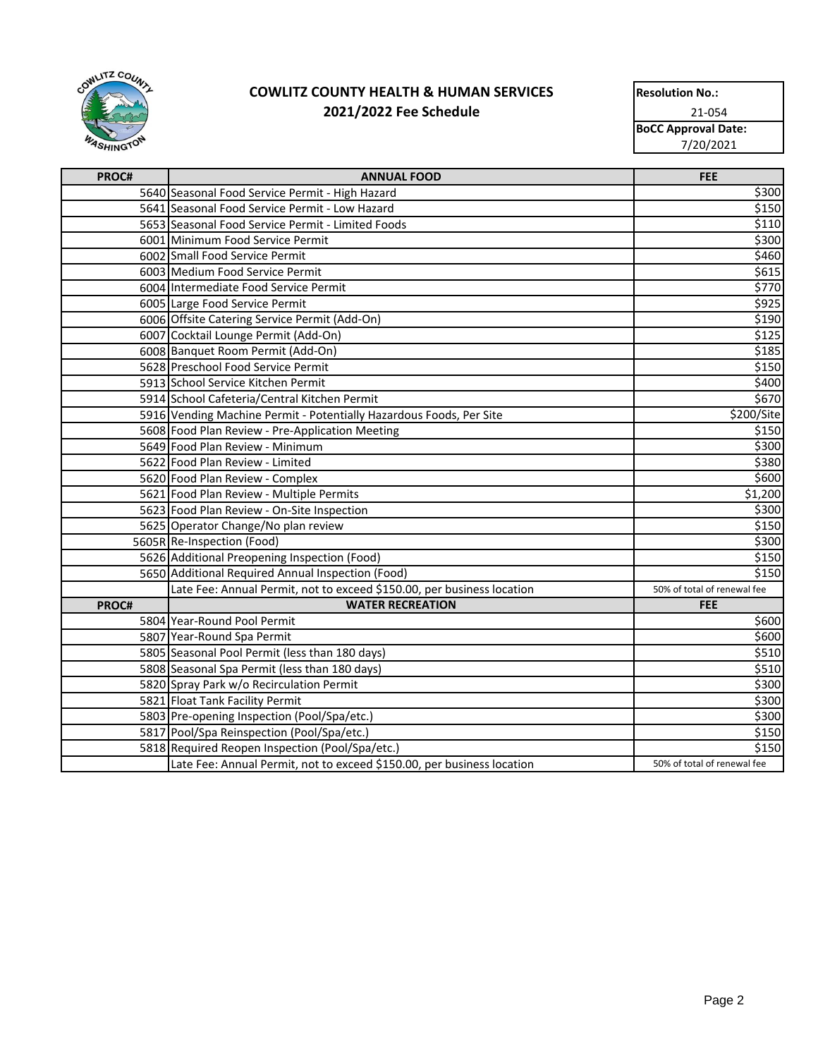

| <b>Resolution No.:</b>     |  |  |
|----------------------------|--|--|
| 21-054                     |  |  |
| <b>BoCC Approval Date:</b> |  |  |
| 7/20/2021                  |  |  |
|                            |  |  |

| PROC# | <b>ANNUAL FOOD</b>                                                     | <b>FEE</b>                  |
|-------|------------------------------------------------------------------------|-----------------------------|
|       | 5640 Seasonal Food Service Permit - High Hazard                        | \$300                       |
|       | 5641 Seasonal Food Service Permit - Low Hazard                         | \$150                       |
|       | 5653 Seasonal Food Service Permit - Limited Foods                      | \$110                       |
|       | 6001 Minimum Food Service Permit                                       | \$300                       |
|       | 6002 Small Food Service Permit                                         | \$460                       |
|       | 6003 Medium Food Service Permit                                        | \$615                       |
|       | 6004 Intermediate Food Service Permit                                  | \$770                       |
|       | 6005 Large Food Service Permit                                         | \$925                       |
|       | 6006 Offsite Catering Service Permit (Add-On)                          | \$190                       |
|       | 6007 Cocktail Lounge Permit (Add-On)                                   | \$125                       |
|       | 6008 Banquet Room Permit (Add-On)                                      | \$185                       |
|       | 5628 Preschool Food Service Permit                                     | \$150                       |
|       | 5913 School Service Kitchen Permit                                     | \$400                       |
|       | 5914 School Cafeteria/Central Kitchen Permit                           | \$670                       |
|       | 5916 Vending Machine Permit - Potentially Hazardous Foods, Per Site    | \$200/Site                  |
|       | 5608 Food Plan Review - Pre-Application Meeting                        | \$150                       |
|       | 5649 Food Plan Review - Minimum                                        | \$300                       |
|       | 5622 Food Plan Review - Limited                                        | \$380                       |
|       | 5620 Food Plan Review - Complex                                        | \$600                       |
|       | 5621 Food Plan Review - Multiple Permits                               | \$1,200                     |
|       | 5623 Food Plan Review - On-Site Inspection                             | \$300                       |
|       | 5625 Operator Change/No plan review                                    | \$150                       |
|       | 5605R Re-Inspection (Food)                                             | \$300                       |
|       | 5626 Additional Preopening Inspection (Food)                           | \$150                       |
|       | 5650 Additional Required Annual Inspection (Food)                      | \$150                       |
|       | Late Fee: Annual Permit, not to exceed \$150.00, per business location | 50% of total of renewal fee |
| PROC# | <b>WATER RECREATION</b>                                                | <b>FEE</b>                  |
|       | 5804 Year-Round Pool Permit                                            | \$600                       |
|       | 5807 Year-Round Spa Permit                                             | \$600                       |
|       | 5805 Seasonal Pool Permit (less than 180 days)                         | \$510                       |
|       | 5808 Seasonal Spa Permit (less than 180 days)                          | \$510                       |
|       | 5820 Spray Park w/o Recirculation Permit                               | \$300                       |
|       | 5821 Float Tank Facility Permit                                        | \$300                       |
|       | 5803 Pre-opening Inspection (Pool/Spa/etc.)                            | \$300                       |
|       | 5817 Pool/Spa Reinspection (Pool/Spa/etc.)                             | \$150                       |
|       | 5818 Required Reopen Inspection (Pool/Spa/etc.)                        | \$150                       |
|       | Late Fee: Annual Permit, not to exceed \$150.00, per business location | 50% of total of renewal fee |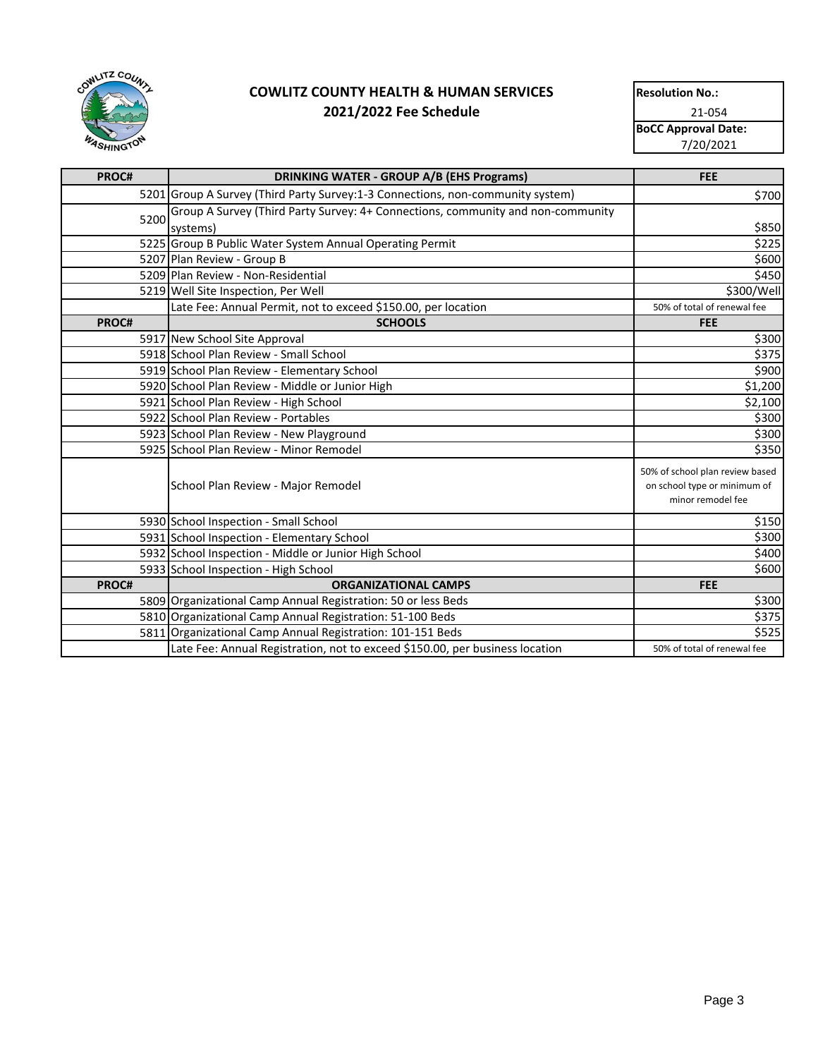

| <b>Resolution No.:</b>     |  |  |
|----------------------------|--|--|
| 21-054                     |  |  |
| <b>BoCC Approval Date:</b> |  |  |
| 7/20/2021                  |  |  |
|                            |  |  |

| PROC# | <b>DRINKING WATER - GROUP A/B (EHS Programs)</b>                                            | <b>FEE</b>                                                                           |
|-------|---------------------------------------------------------------------------------------------|--------------------------------------------------------------------------------------|
|       | 5201 Group A Survey (Third Party Survey:1-3 Connections, non-community system)              | \$700                                                                                |
| 5200  | Group A Survey (Third Party Survey: 4+ Connections, community and non-community<br>systems) | \$850                                                                                |
|       | 5225 Group B Public Water System Annual Operating Permit                                    | \$225                                                                                |
|       | 5207 Plan Review - Group B                                                                  | \$600                                                                                |
|       | 5209 Plan Review - Non-Residential                                                          | \$450                                                                                |
|       | 5219 Well Site Inspection, Per Well                                                         | \$300/Well                                                                           |
|       | Late Fee: Annual Permit, not to exceed \$150.00, per location                               | 50% of total of renewal fee                                                          |
| PROC# | <b>SCHOOLS</b>                                                                              | <b>FEE</b>                                                                           |
|       | 5917 New School Site Approval                                                               | \$300                                                                                |
|       | 5918 School Plan Review - Small School                                                      | \$375                                                                                |
|       | 5919 School Plan Review - Elementary School                                                 | \$900                                                                                |
|       | 5920 School Plan Review - Middle or Junior High                                             | \$1,200                                                                              |
|       | 5921 School Plan Review - High School                                                       | \$2,100                                                                              |
|       | 5922 School Plan Review - Portables                                                         | \$300                                                                                |
|       | 5923 School Plan Review - New Playground                                                    | \$300                                                                                |
|       | 5925 School Plan Review - Minor Remodel                                                     | \$350                                                                                |
|       | School Plan Review - Major Remodel                                                          | 50% of school plan review based<br>on school type or minimum of<br>minor remodel fee |
|       | 5930 School Inspection - Small School                                                       | \$150                                                                                |
|       | 5931 School Inspection - Elementary School                                                  | \$300                                                                                |
|       | 5932 School Inspection - Middle or Junior High School                                       | \$400                                                                                |
|       | 5933 School Inspection - High School                                                        | \$600                                                                                |
| PROC# | <b>ORGANIZATIONAL CAMPS</b>                                                                 | <b>FEE</b>                                                                           |
|       | 5809 Organizational Camp Annual Registration: 50 or less Beds                               | \$300                                                                                |
|       | 5810 Organizational Camp Annual Registration: 51-100 Beds                                   | \$375                                                                                |
|       | 5811 Organizational Camp Annual Registration: 101-151 Beds                                  | \$525                                                                                |
|       | Late Fee: Annual Registration, not to exceed \$150.00, per business location                | 50% of total of renewal fee                                                          |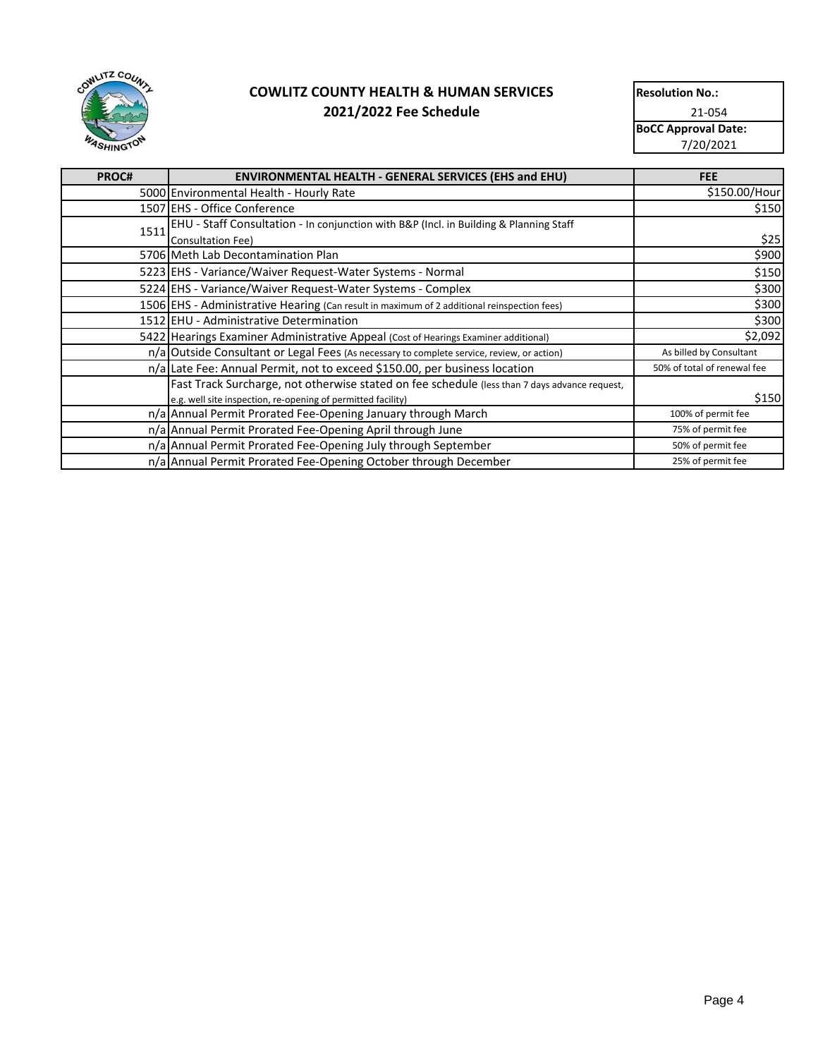

| <b>Resolution No.:</b>     |  |  |
|----------------------------|--|--|
| 21-054                     |  |  |
| <b>BoCC Approval Date:</b> |  |  |
| 7/20/2021                  |  |  |
|                            |  |  |

| PROC# | <b>ENVIRONMENTAL HEALTH - GENERAL SERVICES (EHS and EHU)</b>                                  | <b>FEE</b>                  |
|-------|-----------------------------------------------------------------------------------------------|-----------------------------|
|       | 5000 Environmental Health - Hourly Rate                                                       | \$150.00/Hour               |
|       | 1507 EHS - Office Conference                                                                  | \$150                       |
| 1511  | EHU - Staff Consultation - In conjunction with B&P (Incl. in Building & Planning Staff        |                             |
|       | Consultation Fee)                                                                             | \$25                        |
|       | 5706 Meth Lab Decontamination Plan                                                            | \$900                       |
|       | 5223 EHS - Variance/Waiver Request-Water Systems - Normal                                     | \$150                       |
|       | 5224 EHS - Variance/Waiver Request-Water Systems - Complex                                    | \$300                       |
|       | 1506 EHS - Administrative Hearing (Can result in maximum of 2 additional reinspection fees)   | \$300                       |
|       | 1512 EHU - Administrative Determination                                                       | \$300                       |
|       | 5422 Hearings Examiner Administrative Appeal (Cost of Hearings Examiner additional)           | \$2,092                     |
|       | n/a Outside Consultant or Legal Fees (As necessary to complete service, review, or action)    | As billed by Consultant     |
|       | n/a Late Fee: Annual Permit, not to exceed \$150.00, per business location                    | 50% of total of renewal fee |
|       | Fast Track Surcharge, not otherwise stated on fee schedule (less than 7 days advance request, |                             |
|       | e.g. well site inspection, re-opening of permitted facility)                                  | \$150                       |
|       | n/a Annual Permit Prorated Fee-Opening January through March                                  | 100% of permit fee          |
|       | n/a Annual Permit Prorated Fee-Opening April through June                                     | 75% of permit fee           |
|       | n/a Annual Permit Prorated Fee-Opening July through September                                 | 50% of permit fee           |
|       | n/a Annual Permit Prorated Fee-Opening October through December                               | 25% of permit fee           |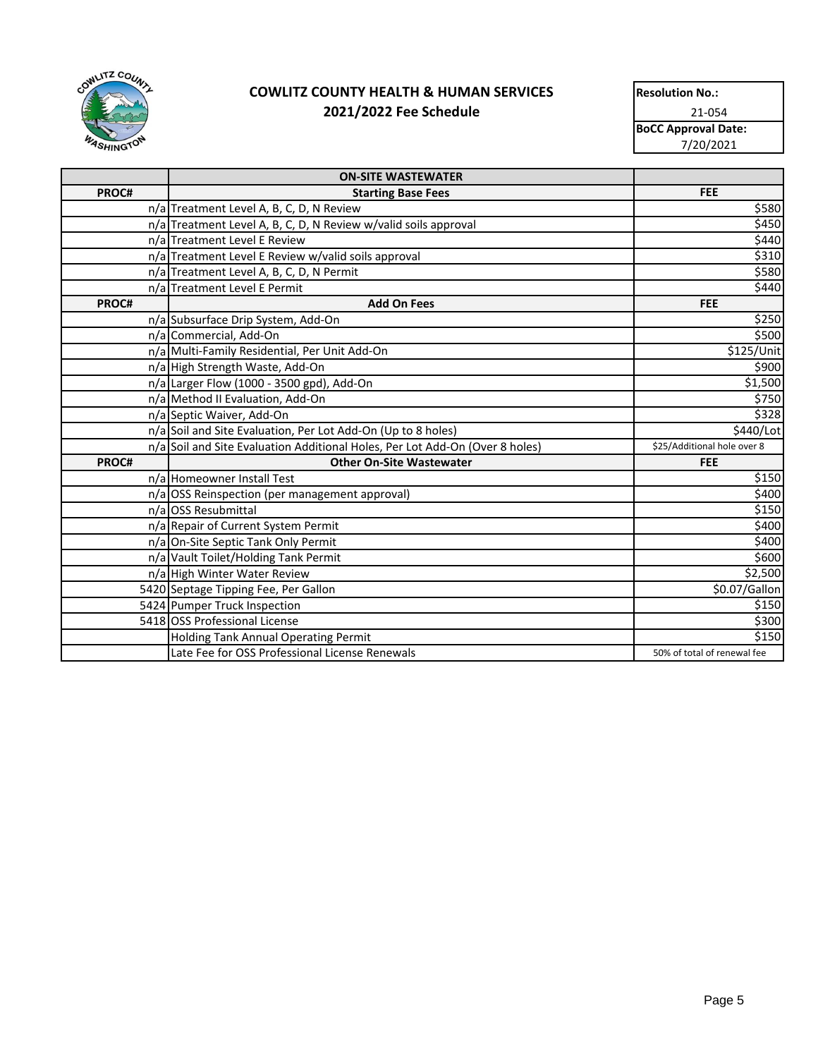

| <b>Resolution No.:</b>     |  |  |
|----------------------------|--|--|
| 21-054                     |  |  |
| <b>BoCC Approval Date:</b> |  |  |
| 7/20/2021                  |  |  |

|       | <b>ON-SITE WASTEWATER</b>                                                    |                             |
|-------|------------------------------------------------------------------------------|-----------------------------|
| PROC# | <b>Starting Base Fees</b>                                                    | <b>FEE</b>                  |
|       | n/a Treatment Level A, B, C, D, N Review                                     | \$580                       |
|       | n/a Treatment Level A, B, C, D, N Review w/valid soils approval              | \$450                       |
|       | n/a Treatment Level E Review                                                 | \$440                       |
|       | n/a Treatment Level E Review w/valid soils approval                          | \$310                       |
|       | n/a Treatment Level A, B, C, D, N Permit                                     | \$580                       |
|       | n/a Treatment Level E Permit                                                 | \$440                       |
| PROC# | <b>Add On Fees</b>                                                           | <b>FEE</b>                  |
|       | n/a Subsurface Drip System, Add-On                                           | \$250                       |
|       | n/a Commercial, Add-On                                                       | \$500                       |
|       | n/a Multi-Family Residential, Per Unit Add-On                                | \$125/Unit                  |
|       | n/a High Strength Waste, Add-On                                              | \$900                       |
|       | n/a Larger Flow (1000 - 3500 gpd), Add-On                                    | \$1,500                     |
|       | n/a Method II Evaluation, Add-On                                             | \$750                       |
|       | n/a Septic Waiver, Add-On                                                    | \$328                       |
|       | n/a Soil and Site Evaluation, Per Lot Add-On (Up to 8 holes)                 | \$440/Lot                   |
|       | n/a Soil and Site Evaluation Additional Holes, Per Lot Add-On (Over 8 holes) | \$25/Additional hole over 8 |
| PROC# | <b>Other On-Site Wastewater</b>                                              | <b>FEE</b>                  |
|       | n/a Homeowner Install Test                                                   | \$150                       |
|       | n/a OSS Reinspection (per management approval)                               | \$400                       |
|       | n/a OSS Resubmittal                                                          | \$150                       |
|       | n/a Repair of Current System Permit                                          | \$400                       |
|       | n/a On-Site Septic Tank Only Permit                                          | \$400                       |
|       | n/a Vault Toilet/Holding Tank Permit                                         | \$600                       |
|       | n/a High Winter Water Review                                                 | \$2,500                     |
|       | 5420 Septage Tipping Fee, Per Gallon                                         | \$0.07/Gallon               |
|       | 5424 Pumper Truck Inspection                                                 | \$150                       |
|       | 5418 OSS Professional License                                                | \$300                       |
|       | Holding Tank Annual Operating Permit                                         | \$150                       |
|       | Late Fee for OSS Professional License Renewals                               | 50% of total of renewal fee |